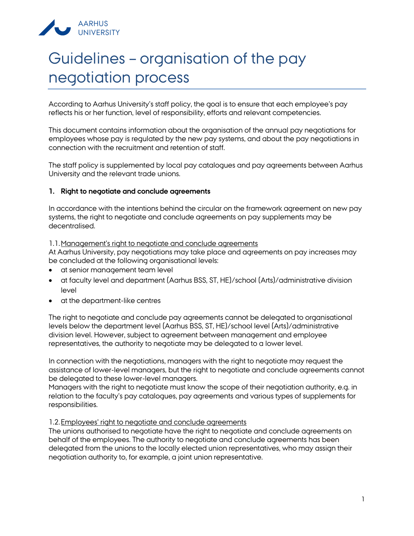

# Guidelines – organisation of the pay negotiation process

According to Aarhus University's staff policy, the goal is to ensure that each employee's pay reflects his or her function, level of responsibility, efforts and relevant competencies.

This document contains information about the organisation of the annual pay negotiations for employees whose pay is regulated by the new pay systems, and about the pay negotiations in connection with the recruitment and retention of staff.

The staff policy is supplemented by local pay catalogues and pay agreements between Aarhus University and the relevant trade unions.

### **1. Right to negotiate and conclude agreements**

In accordance with the intentions behind the circular on the framework agreement on new pay systems, the right to negotiate and conclude agreements on pay supplements may be decentralised.

1.1.Management's right to negotiate and conclude agreements

At Aarhus University, pay negotiations may take place and agreements on pay increases may be concluded at the following organisational levels:

- at senior management team level
- at faculty level and department (Aarhus BSS, ST, HE)/school (Arts)/administrative division level
- at the department-like centres

The right to negotiate and conclude pay agreements cannot be delegated to organisational levels below the department level (Aarhus BSS, ST, HE)/school level (Arts)/administrative division level. However, subject to agreement between management and employee representatives, the authority to negotiate may be delegated to a lower level.

In connection with the negotiations, managers with the right to negotiate may request the assistance of lower-level managers, but the right to negotiate and conclude agreements cannot be delegated to these lower-level managers.

Managers with the right to negotiate must know the scope of their negotiation authority, e.g. in relation to the faculty's pay catalogues, pay agreements and various types of supplements for responsibilities.

#### 1.2.Employees' right to negotiate and conclude agreements

The unions authorised to negotiate have the right to negotiate and conclude agreements on behalf of the employees. The authority to negotiate and conclude agreements has been delegated from the unions to the locally elected union representatives, who may assign their negotiation authority to, for example, a joint union representative.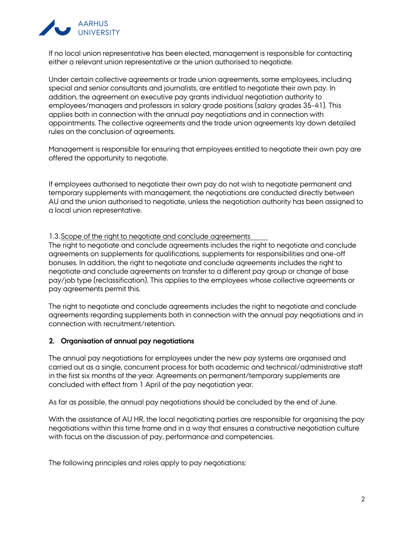

If no local union representative has been elected, management is responsible for contacting either a relevant union representative or the union authorised to negotiate.

Under certain collective agreements or trade union agreements, some employees, including special and senior consultants and journalists, are entitled to negotiate their own pay. In addition, the agreement on executive pay grants individual negotiation authority to employees/managers and professors in salary grade positions (salary grades 35-41). This applies both in connection with the annual pay negotiations and in connection with appointments. The collective agreements and the trade union agreements lay down detailed rules on the conclusion of agreements.

Management is responsible for ensuring that employees entitled to negotiate their own pay are offered the opportunity to negotiate.

If employees authorised to negotiate their own pay do not wish to negotiate permanent and temporary supplements with management, the negotiations are conducted directly between AU and the union authorised to negotiate, unless the negotiation authority has been assigned to a local union representative.

### 1.3.Scope of the right to negotiate and conclude agreements

The right to negotiate and conclude agreements includes the right to negotiate and conclude agreements on supplements for qualifications, supplements for responsibilities and one-off bonuses. In addition, the right to negotiate and conclude agreements includes the right to negotiate and conclude agreements on transfer to a different pay group or change of base pay/job type (reclassification). This applies to the employees whose collective agreements or pay agreements permit this.

The right to negotiate and conclude agreements includes the right to negotiate and conclude agreements regarding supplements both in connection with the annual pay negotiations and in connection with recruitment/retention.

#### **2. Organisation of annual pay negotiations**

The annual pay negotiations for employees under the new pay systems are organised and carried out as a single, concurrent process for both academic and technical/administrative staff in the first six months of the year. Agreements on permanent/temporary supplements are concluded with effect from 1 April of the pay negotiation year.

As far as possible, the annual pay negotiations should be concluded by the end of June.

With the assistance of AU HR, the local negotiating parties are responsible for organising the pay negotiations within this time frame and in a way that ensures a constructive negotiation culture with focus on the discussion of pay, performance and competencies.

The following principles and roles apply to pay negotiations: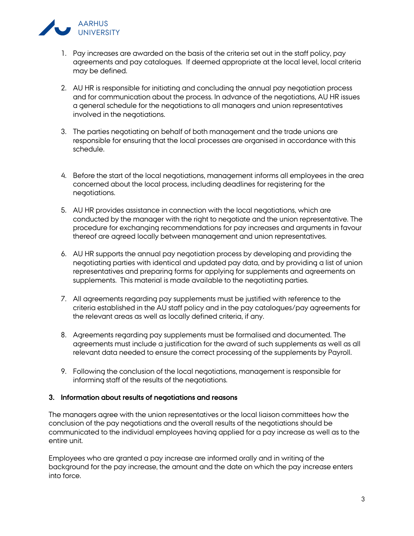

- 1. Pay increases are awarded on the basis of the criteria set out in the staff policy, pay agreements and pay catalogues. If deemed appropriate at the local level, local criteria may be defined.
- 2. AU HR is responsible for initiating and concluding the annual pay negotiation process and for communication about the process. In advance of the negotiations, AU HR issues a general schedule for the negotiations to all managers and union representatives involved in the negotiations.
- 3. The parties negotiating on behalf of both management and the trade unions are responsible for ensuring that the local processes are organised in accordance with this schedule.
- 4. Before the start of the local negotiations, management informs all employees in the area concerned about the local process, including deadlines for registering for the negotiations.
- 5. AU HR provides assistance in connection with the local negotiations, which are conducted by the manager with the right to negotiate and the union representative. The procedure for exchanging recommendations for pay increases and arguments in favour thereof are agreed locally between management and union representatives.
- 6. AU HR supports the annual pay negotiation process by developing and providing the negotiating parties with identical and updated pay data, and by providing a list of union representatives and preparing forms for applying for supplements and agreements on supplements. This material is made available to the negotiating parties.
- 7. All agreements regarding pay supplements must be justified with reference to the criteria established in the AU staff policy and in the pay catalogues/pay agreements for the relevant areas as well as locally defined criteria, if any.
- 8. Agreements regarding pay supplements must be formalised and documented. The agreements must include a justification for the award of such supplements as well as all relevant data needed to ensure the correct processing of the supplements by Payroll.
- 9. Following the conclusion of the local negotiations, management is responsible for informing staff of the results of the negotiations.

# **3. Information about results of negotiations and reasons**

The managers agree with the union representatives or the local liaison committees how the conclusion of the pay negotiations and the overall results of the negotiations should be communicated to the individual employees having applied for a pay increase as well as to the entire unit.

Employees who are granted a pay increase are informed orally and in writing of the background for the pay increase, the amount and the date on which the pay increase enters into force.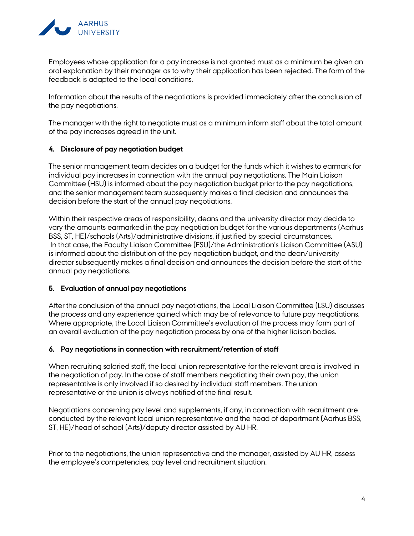

Employees whose application for a pay increase is not granted must as a minimum be given an oral explanation by their manager as to why their application has been rejected. The form of the feedback is adapted to the local conditions.

Information about the results of the negotiations is provided immediately after the conclusion of the pay negotiations.

The manager with the right to negotiate must as a minimum inform staff about the total amount of the pay increases agreed in the unit.

# **4. Disclosure of pay negotiation budget**

The senior management team decides on a budget for the funds which it wishes to earmark for individual pay increases in connection with the annual pay negotiations. The Main Liaison Committee (HSU) is informed about the pay negotiation budget prior to the pay negotiations, and the senior management team subsequently makes a final decision and announces the decision before the start of the annual pay negotiations.

Within their respective areas of responsibility, deans and the university director may decide to vary the amounts earmarked in the pay negotiation budget for the various departments (Aarhus BSS, ST, HE)/schools (Arts)/administrative divisions, if justified by special circumstances. In that case, the Faculty Liaison Committee (FSU)/the Administration's Liaison Committee (ASU) is informed about the distribution of the pay negotiation budget, and the dean/university director subsequently makes a final decision and announces the decision before the start of the annual pay negotiations.

#### **5. Evaluation of annual pay negotiations**

After the conclusion of the annual pay negotiations, the Local Liaison Committee (LSU) discusses the process and any experience gained which may be of relevance to future pay negotiations. Where appropriate, the Local Liaison Committee's evaluation of the process may form part of an overall evaluation of the pay negotiation process by one of the higher liaison bodies.

#### **6. Pay negotiations in connection with recruitment/retention of staff**

When recruiting salaried staff, the local union representative for the relevant area is involved in the negotiation of pay. In the case of staff members negotiating their own pay, the union representative is only involved if so desired by individual staff members. The union representative or the union is always notified of the final result.

Negotiations concerning pay level and supplements, if any, in connection with recruitment are conducted by the relevant local union representative and the head of department (Aarhus BSS, ST, HE)/head of school (Arts)/deputy director assisted by AU HR.

Prior to the negotiations, the union representative and the manager, assisted by AU HR, assess the employee's competencies, pay level and recruitment situation.